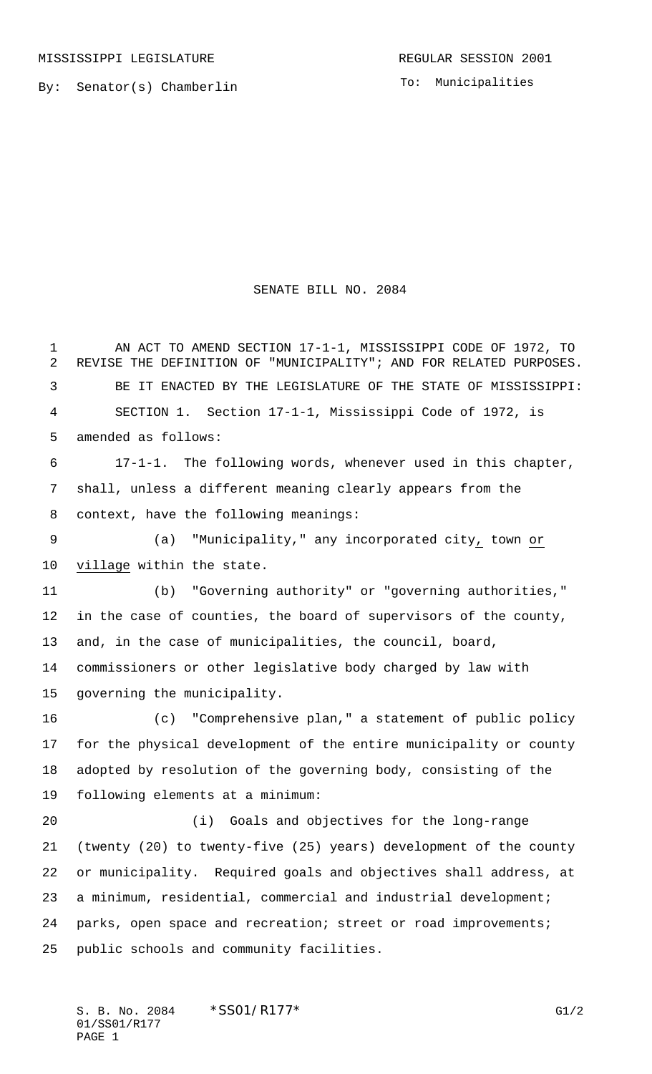By: Senator(s) Chamberlin

To: Municipalities

## SENATE BILL NO. 2084

1 AN ACT TO AMEND SECTION 17-1-1, MISSISSIPPI CODE OF 1972, TO REVISE THE DEFINITION OF "MUNICIPALITY"; AND FOR RELATED PURPOSES. BE IT ENACTED BY THE LEGISLATURE OF THE STATE OF MISSISSIPPI: SECTION 1. Section 17-1-1, Mississippi Code of 1972, is amended as follows: 17-1-1. The following words, whenever used in this chapter, shall, unless a different meaning clearly appears from the context, have the following meanings: (a) "Municipality," any incorporated city, town or village within the state. (b) "Governing authority" or "governing authorities," in the case of counties, the board of supervisors of the county, and, in the case of municipalities, the council, board, commissioners or other legislative body charged by law with governing the municipality. (c) "Comprehensive plan," a statement of public policy for the physical development of the entire municipality or county adopted by resolution of the governing body, consisting of the following elements at a minimum: (i) Goals and objectives for the long-range (twenty (20) to twenty-five (25) years) development of the county or municipality. Required goals and objectives shall address, at a minimum, residential, commercial and industrial development; parks, open space and recreation; street or road improvements; public schools and community facilities.